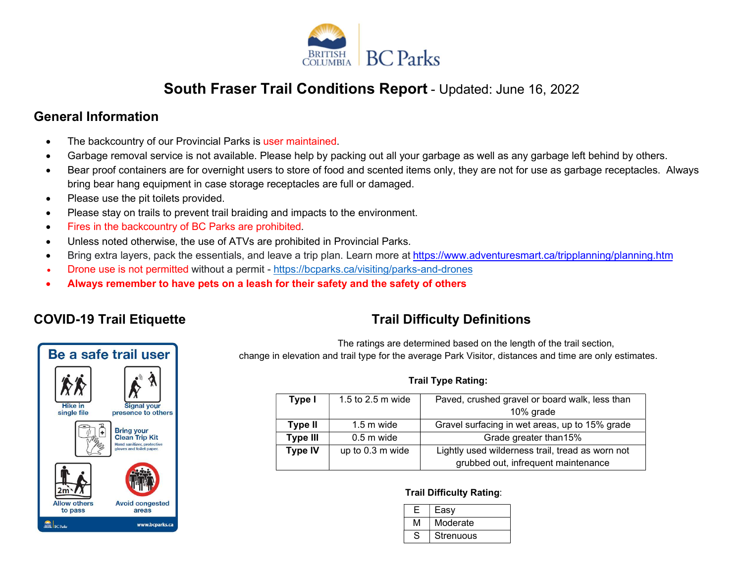

# South Fraser Trail Conditions Report - Updated: June 16, 2022

## General Information

- The backcountry of our Provincial Parks is user maintained.
- Garbage removal service is not available. Please help by packing out all your garbage as well as any garbage left behind by others.
- Bear proof containers are for overnight users to store of food and scented items only, they are not for use as garbage receptacles. Always bring bear hang equipment in case storage receptacles are full or damaged.
- Please use the pit toilets provided.
- Please stay on trails to prevent trail braiding and impacts to the environment.
- Fires in the backcountry of BC Parks are prohibited.
- Unless noted otherwise, the use of ATVs are prohibited in Provincial Parks.
- Bring extra layers, pack the essentials, and leave a trip plan. Learn more at https://www.adventuresmart.ca/tripplanning/planning.htm
- Drone use is not permitted without a permit https://bcparks.ca/visiting/parks-and-drones
- Always remember to have pets on a leash for their safety and the safety of others

## COVID-19 Trail Etiquette COVID-19 Trail Difficulty Definitions



The ratings are determined based on the length of the trail section, change in elevation and trail type for the average Park Visitor, distances and time are only estimates.

#### Trail Type Rating:

| Type I          | 1.5 to 2.5 m wide    | Paved, crushed gravel or board walk, less than   |  |  |  |  |  |
|-----------------|----------------------|--------------------------------------------------|--|--|--|--|--|
|                 |                      | 10% grade                                        |  |  |  |  |  |
| Type II         | $1.5 \text{ m}$ wide | Gravel surfacing in wet areas, up to 15% grade   |  |  |  |  |  |
| <b>Type III</b> | $0.5m$ wide          | Grade greater than 15%                           |  |  |  |  |  |
| <b>Type IV</b>  | up to 0.3 m wide     | Lightly used wilderness trail, tread as worn not |  |  |  |  |  |
|                 |                      | grubbed out, infrequent maintenance              |  |  |  |  |  |

### Trail Difficulty Rating:

| Easy      |
|-----------|
| Moderate  |
| Strenuous |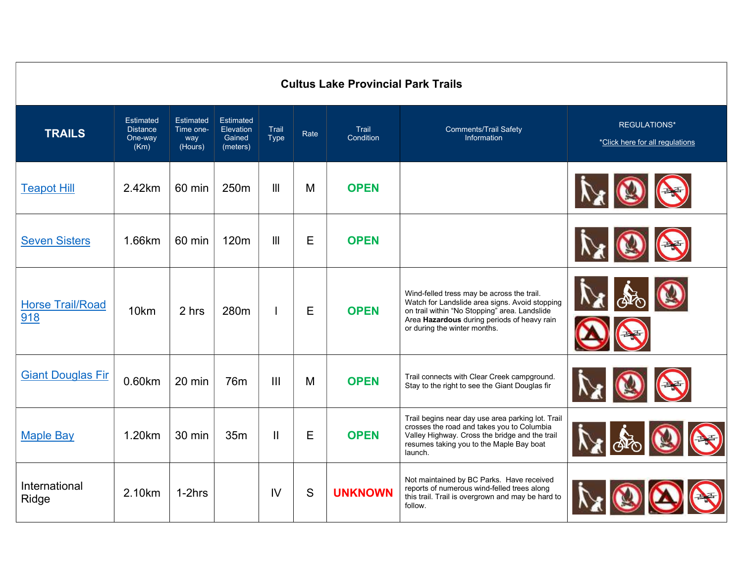| <b>Cultus Lake Provincial Park Trails</b> |                                                        |                                                 |                                              |                      |      |                    |                                                                                                                                                                                                                              |                                                        |  |  |
|-------------------------------------------|--------------------------------------------------------|-------------------------------------------------|----------------------------------------------|----------------------|------|--------------------|------------------------------------------------------------------------------------------------------------------------------------------------------------------------------------------------------------------------------|--------------------------------------------------------|--|--|
| <b>TRAILS</b>                             | <b>Estimated</b><br><b>Distance</b><br>One-way<br>(Km) | <b>Estimated</b><br>Time one-<br>way<br>(Hours) | Estimated<br>Elevation<br>Gained<br>(meters) | Trail<br><b>Type</b> | Rate | Trail<br>Condition | <b>Comments/Trail Safety</b><br><b>Information</b>                                                                                                                                                                           | <b>REGULATIONS*</b><br>*Click here for all regulations |  |  |
| <b>Teapot Hill</b>                        | 2.42km                                                 | 60 min                                          | 250m                                         | $\mathbf{III}$       | M    | <b>OPEN</b>        |                                                                                                                                                                                                                              |                                                        |  |  |
| <b>Seven Sisters</b>                      | 1.66km                                                 | 60 min                                          | 120 <sub>m</sub>                             | $\mathbf{III}$       | E    | <b>OPEN</b>        |                                                                                                                                                                                                                              |                                                        |  |  |
| <b>Horse Trail/Road</b><br>918            | 10km                                                   | 2 hrs                                           | 280m                                         |                      | E    | <b>OPEN</b>        | Wind-felled tress may be across the trail.<br>Watch for Landslide area signs. Avoid stopping<br>on trail within "No Stopping" area. Landslide<br>Area Hazardous during periods of heavy rain<br>or during the winter months. |                                                        |  |  |
| <b>Giant Douglas Fir</b>                  | 0.60km                                                 | 20 min                                          | 76m                                          | $\mathbf{III}$       | M    | <b>OPEN</b>        | Trail connects with Clear Creek campground.<br>Stay to the right to see the Giant Douglas fir                                                                                                                                |                                                        |  |  |
| <b>Maple Bay</b>                          | 1.20km                                                 | 30 min                                          | 35m                                          | $\mathbf{II}$        | E    | <b>OPEN</b>        | Trail begins near day use area parking lot. Trail<br>crosses the road and takes you to Columbia<br>Valley Highway. Cross the bridge and the trail<br>resumes taking you to the Maple Bay boat<br>launch.                     |                                                        |  |  |
| International<br>Ridge                    | 2.10km                                                 | $1-2$ hrs                                       |                                              | $\mathsf{IV}$        | S    | <b>UNKNOWN</b>     | Not maintained by BC Parks. Have received<br>reports of numerous wind-felled trees along<br>this trail. Trail is overgrown and may be hard to<br>follow.                                                                     |                                                        |  |  |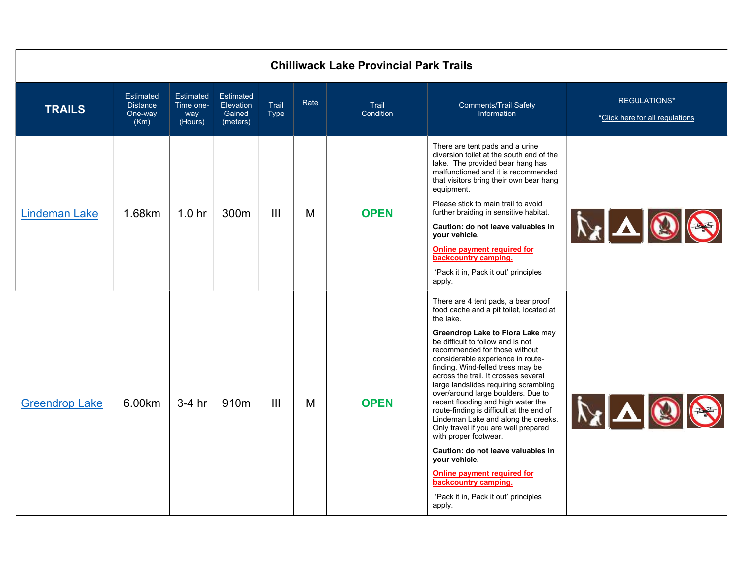| <b>Chilliwack Lake Provincial Park Trails</b> |                                                 |                                          |                                              |                |      |                    |                                                                                                                                                                                                                                                                                                                                                                                                                                                                                                                                                                                                                                                                                                                                                                         |                                                        |  |  |
|-----------------------------------------------|-------------------------------------------------|------------------------------------------|----------------------------------------------|----------------|------|--------------------|-------------------------------------------------------------------------------------------------------------------------------------------------------------------------------------------------------------------------------------------------------------------------------------------------------------------------------------------------------------------------------------------------------------------------------------------------------------------------------------------------------------------------------------------------------------------------------------------------------------------------------------------------------------------------------------------------------------------------------------------------------------------------|--------------------------------------------------------|--|--|
| <b>TRAILS</b>                                 | Estimated<br><b>Distance</b><br>One-way<br>(Km) | Estimated<br>Time one-<br>way<br>(Hours) | Estimated<br>Elevation<br>Gained<br>(meters) | Trail<br>Type  | Rate | Trail<br>Condition | <b>Comments/Trail Safety</b><br><b>Information</b>                                                                                                                                                                                                                                                                                                                                                                                                                                                                                                                                                                                                                                                                                                                      | <b>REGULATIONS*</b><br>*Click here for all regulations |  |  |
| <b>Lindeman Lake</b>                          | 1.68km                                          | 1.0 <sub>hr</sub>                        | 300m                                         | III            | M    | <b>OPEN</b>        | There are tent pads and a urine<br>diversion toilet at the south end of the<br>lake. The provided bear hang has<br>malfunctioned and it is recommended<br>that visitors bring their own bear hang<br>equipment.<br>Please stick to main trail to avoid<br>further braiding in sensitive habitat.<br>Caution: do not leave valuables in<br>your vehicle.<br>Online payment required for<br>backcountry camping.<br>'Pack it in, Pack it out' principles<br>apply.                                                                                                                                                                                                                                                                                                        | $\mathbb{Z}$ $\overline{\mathbf{A}}$ $\mathbf{C}$      |  |  |
| <b>Greendrop Lake</b>                         | 6.00km                                          | $3-4$ hr                                 | 910 <sub>m</sub>                             | $\mathbf{III}$ | M    | <b>OPEN</b>        | There are 4 tent pads, a bear proof<br>food cache and a pit toilet, located at<br>the lake.<br>Greendrop Lake to Flora Lake may<br>be difficult to follow and is not<br>recommended for those without<br>considerable experience in route-<br>finding. Wind-felled tress may be<br>across the trail. It crosses several<br>large landslides requiring scrambling<br>over/around large boulders. Due to<br>recent flooding and high water the<br>route-finding is difficult at the end of<br>Lindeman Lake and along the creeks.<br>Only travel if you are well prepared<br>with proper footwear.<br>Caution: do not leave valuables in<br>your vehicle.<br><b>Online payment required for</b><br>backcountry camping.<br>'Pack it in, Pack it out' principles<br>apply. | $V$ $\Delta$ $\alpha$                                  |  |  |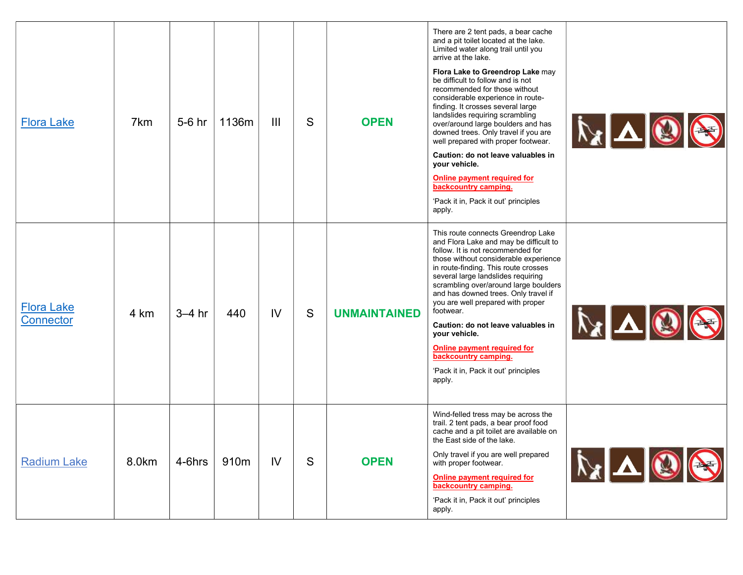| <b>Flora Lake</b>                     | 7 <sub>km</sub> | 5-6 hr   | 1136m | $\mathbf{III}$ | S | <b>OPEN</b>         | There are 2 tent pads, a bear cache<br>and a pit toilet located at the lake.<br>Limited water along trail until you<br>arrive at the lake.<br>Flora Lake to Greendrop Lake may<br>be difficult to follow and is not<br>recommended for those without<br>considerable experience in route-<br>finding. It crosses several large<br>landslides requiring scrambling<br>over/around large boulders and has<br>downed trees. Only travel if you are<br>well prepared with proper footwear.<br>Caution: do not leave valuables in<br>your vehicle.<br><b>Online payment required for</b><br>backcountry camping.<br>'Pack it in, Pack it out' principles<br>apply. | $\mathbb{Z}[\mathbf{A} \mathbf{A}]$ |
|---------------------------------------|-----------------|----------|-------|----------------|---|---------------------|---------------------------------------------------------------------------------------------------------------------------------------------------------------------------------------------------------------------------------------------------------------------------------------------------------------------------------------------------------------------------------------------------------------------------------------------------------------------------------------------------------------------------------------------------------------------------------------------------------------------------------------------------------------|-------------------------------------|
| <b>Flora Lake</b><br><b>Connector</b> | 4 km            | $3-4$ hr | 440   | IV             | S | <b>UNMAINTAINED</b> | This route connects Greendrop Lake<br>and Flora Lake and may be difficult to<br>follow. It is not recommended for<br>those without considerable experience<br>in route-finding. This route crosses<br>several large landslides requiring<br>scrambling over/around large boulders<br>and has downed trees. Only travel if<br>you are well prepared with proper<br>footwear.<br>Caution: do not leave valuables in<br>your vehicle.<br><b>Online payment required for</b><br>backcountry camping.<br>'Pack it in, Pack it out' principles<br>apply.                                                                                                            | $\mathbb{Z}[\nabla]$                |
| <b>Radium Lake</b>                    | 8.0km           | 4-6hrs   | 910m  | IV             | S | <b>OPEN</b>         | Wind-felled tress may be across the<br>trail. 2 tent pads, a bear proof food<br>cache and a pit toilet are available on<br>the East side of the lake.<br>Only travel if you are well prepared<br>with proper footwear.<br><b>Online payment required for</b><br>backcountry camping.<br>'Pack it in, Pack it out' principles<br>apply.                                                                                                                                                                                                                                                                                                                        |                                     |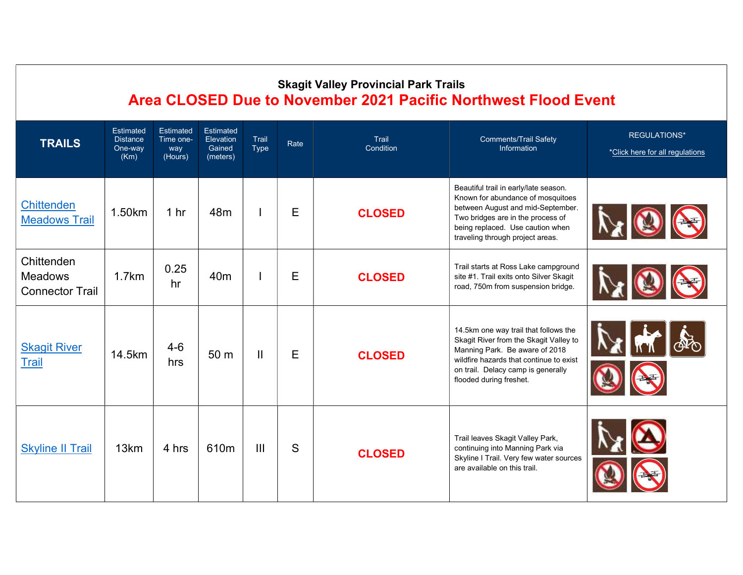## Skagit Valley Provincial Park Trails Area CLOSED Due to November 2021 Pacific Northwest Flood Event

| <b>TRAILS</b>                                          | Estimated<br><b>Distance</b><br>One-way<br>(Km) | <b>Estimated</b><br>Time one-<br>way<br>(Hours) | Estimated<br>Elevation<br>Gained<br>(meters) | Trail<br>Type | Rate | <b>Comments/Trail Safety</b><br>Trail<br>Condition<br>Information |                                                                                                                                                                                                                               | <b>REGULATIONS*</b><br>*Click here for all regulations |
|--------------------------------------------------------|-------------------------------------------------|-------------------------------------------------|----------------------------------------------|---------------|------|-------------------------------------------------------------------|-------------------------------------------------------------------------------------------------------------------------------------------------------------------------------------------------------------------------------|--------------------------------------------------------|
| <b>Chittenden</b><br><b>Meadows Trail</b>              | 1.50km                                          | 1 <sub>hr</sub>                                 | 48m                                          |               | Ε    | <b>CLOSED</b>                                                     | Beautiful trail in early/late season.<br>Known for abundance of mosquitoes<br>between August and mid-September.<br>Two bridges are in the process of<br>being replaced. Use caution when<br>traveling through project areas.  |                                                        |
| Chittenden<br><b>Meadows</b><br><b>Connector Trail</b> | 1.7km                                           | 0.25<br>hr                                      | 40 <sub>m</sub>                              |               | E    | <b>CLOSED</b>                                                     | Trail starts at Ross Lake campground<br>site #1. Trail exits onto Silver Skagit<br>road, 750m from suspension bridge.                                                                                                         |                                                        |
| <b>Skagit River</b><br><b>Trail</b>                    | 14.5km                                          | $4 - 6$<br>hrs                                  | 50 m                                         | $\mathbf{I}$  | E    | <b>CLOSED</b>                                                     | 14.5km one way trail that follows the<br>Skagit River from the Skagit Valley to<br>Manning Park. Be aware of 2018<br>wildfire hazards that continue to exist<br>on trail. Delacy camp is generally<br>flooded during freshet. |                                                        |
| <b>Skyline II Trail</b>                                | 13km                                            | 4 hrs                                           | 610m                                         | III           | S    | <b>CLOSED</b>                                                     | Trail leaves Skagit Valley Park,<br>continuing into Manning Park via<br>Skyline I Trail. Very few water sources<br>are available on this trail.                                                                               |                                                        |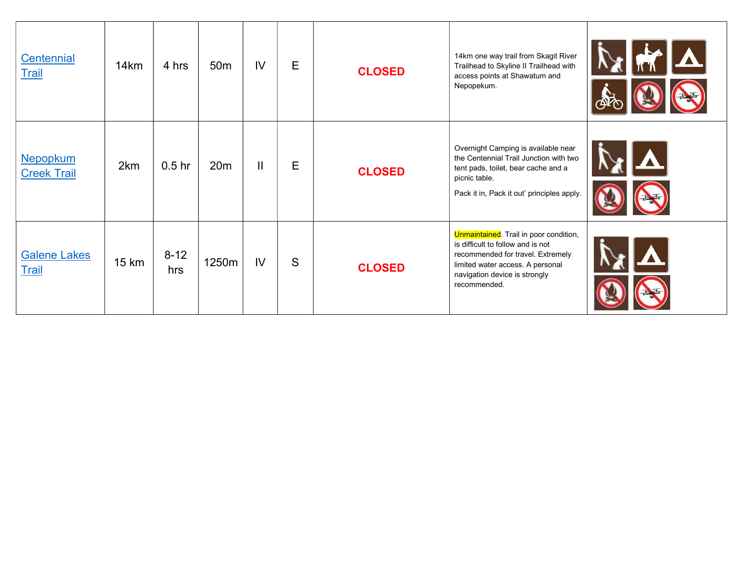| Centennial<br><b>Trail</b>          | 14km  | 4 hrs             | 50 <sub>m</sub> | IV            | E. | <b>CLOSED</b> | 14km one way trail from Skagit River<br>Trailhead to Skyline II Trailhead with<br>access points at Shawatum and<br>Nepopekum.                                                                         |  |
|-------------------------------------|-------|-------------------|-----------------|---------------|----|---------------|-------------------------------------------------------------------------------------------------------------------------------------------------------------------------------------------------------|--|
| Nepopkum<br><b>Creek Trail</b>      | 2km   | 0.5 <sub>hr</sub> | 20 <sub>m</sub> | $\mathbf{II}$ | E  | <b>CLOSED</b> | Overnight Camping is available near<br>the Centennial Trail Junction with two<br>tent pads, toilet, bear cache and a<br>picnic table.<br>Pack it in, Pack it out' principles apply.                   |  |
| <b>Galene Lakes</b><br><b>Trail</b> | 15 km | $8 - 12$<br>hrs   | 1250m           | IV            | S  | <b>CLOSED</b> | Unmaintained. Trail in poor condition,<br>is difficult to follow and is not<br>recommended for travel. Extremely<br>limited water access. A personal<br>navigation device is strongly<br>recommended. |  |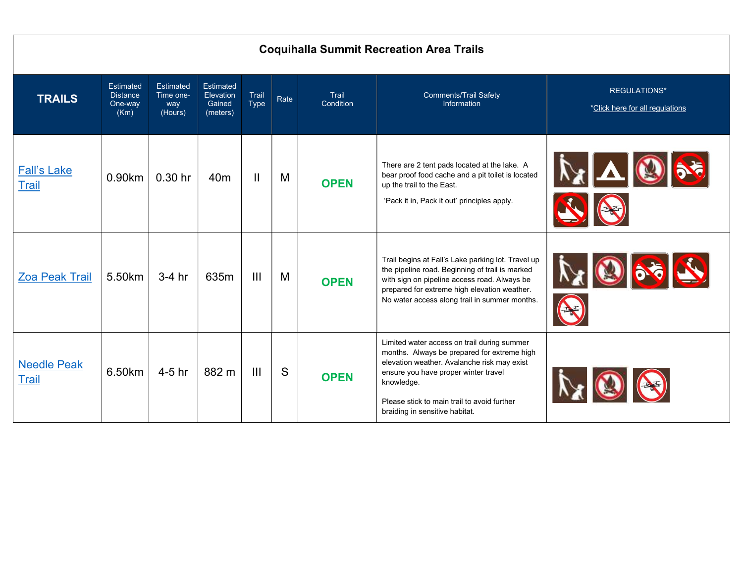| <b>Coquihalla Summit Recreation Area Trails</b> |                                                        |                                                 |                                                     |                      |      |                    |                                                                                                                                                                                                                                                                                  |                                                        |  |
|-------------------------------------------------|--------------------------------------------------------|-------------------------------------------------|-----------------------------------------------------|----------------------|------|--------------------|----------------------------------------------------------------------------------------------------------------------------------------------------------------------------------------------------------------------------------------------------------------------------------|--------------------------------------------------------|--|
| <b>TRAILS</b>                                   | <b>Estimated</b><br><b>Distance</b><br>One-way<br>(Km) | <b>Estimated</b><br>Time one-<br>way<br>(Hours) | <b>Estimated</b><br>Elevation<br>Gained<br>(meters) | Trail<br><b>Type</b> | Rate | Trail<br>Condition | <b>Comments/Trail Safety</b><br>Information                                                                                                                                                                                                                                      | <b>REGULATIONS*</b><br>*Click here for all regulations |  |
| <b>Fall's Lake</b><br><b>Trail</b>              | 0.90km                                                 | 0.30 hr                                         | 40 <sub>m</sub>                                     | $\mathbf{I}$         | M    | <b>OPEN</b>        | There are 2 tent pads located at the lake. A<br>bear proof food cache and a pit toilet is located<br>up the trail to the East.<br>'Pack it in, Pack it out' principles apply.                                                                                                    |                                                        |  |
| <b>Zoa Peak Trail</b>                           | 5.50km                                                 | $3-4$ hr                                        | 635m                                                | III                  | M    | <b>OPEN</b>        | Trail begins at Fall's Lake parking lot. Travel up<br>the pipeline road. Beginning of trail is marked<br>with sign on pipeline access road. Always be<br>prepared for extreme high elevation weather.<br>No water access along trail in summer months.                           |                                                        |  |
| <b>Needle Peak</b><br><b>Trail</b>              | 6.50km                                                 | $4-5$ hr                                        | 882 m                                               | $\mathbf{III}$       | S    | <b>OPEN</b>        | Limited water access on trail during summer<br>months. Always be prepared for extreme high<br>elevation weather. Avalanche risk may exist<br>ensure you have proper winter travel<br>knowledge.<br>Please stick to main trail to avoid further<br>braiding in sensitive habitat. |                                                        |  |

 $\blacksquare$